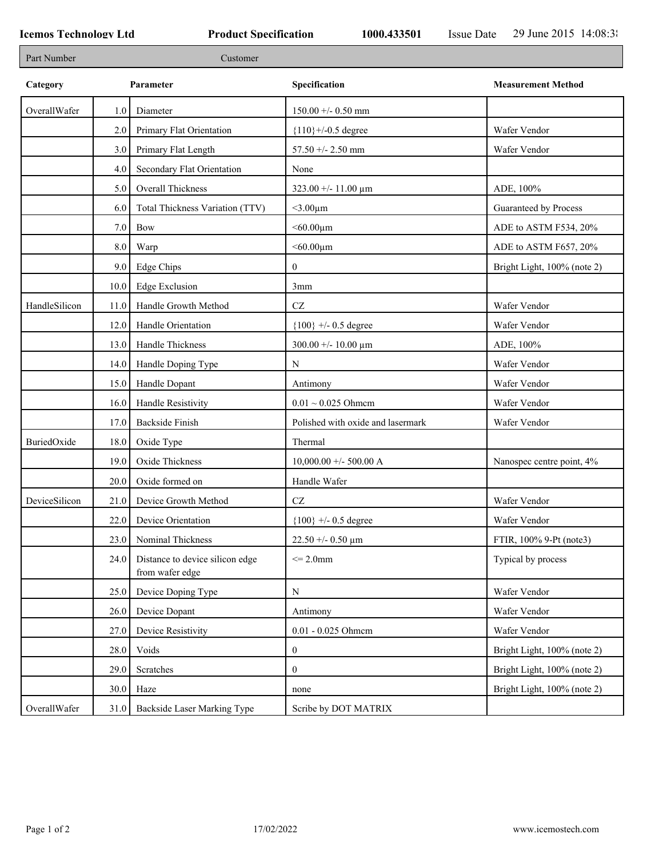F

| Part Number   |      | Customer                                           |                                        |                             |
|---------------|------|----------------------------------------------------|----------------------------------------|-----------------------------|
| Category      |      | Parameter                                          | Specification                          | <b>Measurement Method</b>   |
| OverallWafer  | 1.0  | Diameter                                           | $150.00 + - 0.50$ mm                   |                             |
|               | 2.0  | Primary Flat Orientation                           | ${110}$ +/-0.5 degree                  | Wafer Vendor                |
|               | 3.0  | Primary Flat Length                                | $57.50 +/- 2.50$ mm                    | Wafer Vendor                |
|               | 4.0  | Secondary Flat Orientation                         | None                                   |                             |
|               | 5.0  | Overall Thickness                                  | $323.00 + - 11.00 \text{ }\mu\text{m}$ | ADE, 100%                   |
|               | 6.0  | Total Thickness Variation (TTV)                    | $<$ 3.00 $\mu$ m                       | Guaranteed by Process       |
|               | 7.0  | Bow                                                | $< 60.00 \mu m$                        | ADE to ASTM F534, 20%       |
|               | 8.0  | Warp                                               | $<$ 60.00 $\mu$ m                      | ADE to ASTM F657, 20%       |
|               | 9.0  | <b>Edge Chips</b>                                  | $\mathbf{0}$                           | Bright Light, 100% (note 2) |
|               | 10.0 | <b>Edge Exclusion</b>                              | 3mm                                    |                             |
| HandleSilicon | 11.0 | Handle Growth Method                               | $\operatorname{CZ}$                    | Wafer Vendor                |
|               | 12.0 | Handle Orientation                                 | ${100}$ +/- 0.5 degree                 | Wafer Vendor                |
|               | 13.0 | Handle Thickness                                   | $300.00 +/- 10.00 \mu m$               | ADE, 100%                   |
|               | 14.0 | Handle Doping Type                                 | N                                      | Wafer Vendor                |
|               | 15.0 | Handle Dopant                                      | Antimony                               | Wafer Vendor                |
|               | 16.0 | Handle Resistivity                                 | $0.01 \sim 0.025$ Ohmem                | Wafer Vendor                |
|               | 17.0 | <b>Backside Finish</b>                             | Polished with oxide and lasermark      | Wafer Vendor                |
| BuriedOxide   | 18.0 | Oxide Type                                         | Thermal                                |                             |
|               | 19.0 | Oxide Thickness                                    | $10,000.00 + -500.00$ A                | Nanospec centre point, 4%   |
|               | 20.0 | Oxide formed on                                    | Handle Wafer                           |                             |
| DeviceSilicon | 21.0 | Device Growth Method                               | $\operatorname{CZ}$                    | Wafer Vendor                |
|               | 22.0 | Device Orientation                                 | ${100}$ +/- 0.5 degree                 | Wafer Vendor                |
|               | 23.0 | Nominal Thickness                                  | $22.50 + -0.50 \mu m$                  | FTIR, 100% 9-Pt (note3)     |
|               | 24.0 | Distance to device silicon edge<br>from wafer edge | $\leq$ 2.0mm                           | Typical by process          |
|               | 25.0 | Device Doping Type                                 | N                                      | Wafer Vendor                |
|               | 26.0 | Device Dopant                                      | Antimony                               | Wafer Vendor                |
|               | 27.0 | Device Resistivity                                 | 0.01 - 0.025 Ohmem                     | Wafer Vendor                |
|               | 28.0 | Voids                                              | $\boldsymbol{0}$                       | Bright Light, 100% (note 2) |
|               | 29.0 | Scratches                                          | $\mathbf{0}$                           | Bright Light, 100% (note 2) |
|               | 30.0 | Haze                                               | none                                   | Bright Light, 100% (note 2) |
| OverallWafer  | 31.0 | Backside Laser Marking Type                        | Scribe by DOT MATRIX                   |                             |